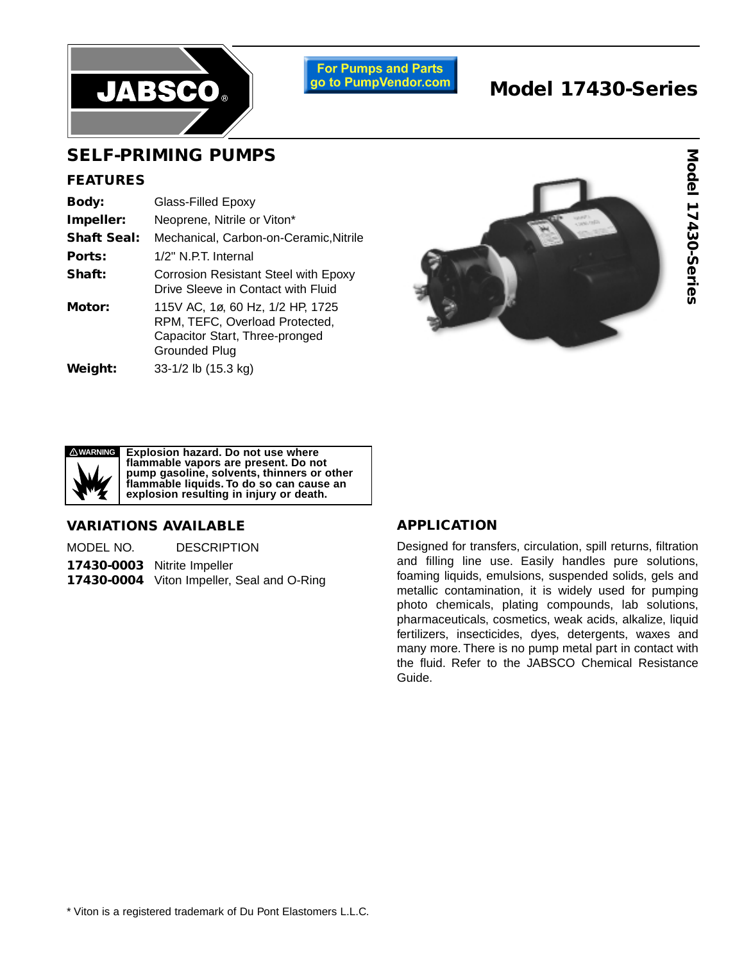

**For Pumps and Parts** go to PumpVendor.com

# **Model 17430-Series**

## **SELF-PRIMING PUMPS**

#### **FEATURES**

| <b>Body:</b>       | Glass-Filled Epoxy                                                                                                           |  |  |  |  |  |  |
|--------------------|------------------------------------------------------------------------------------------------------------------------------|--|--|--|--|--|--|
| Impeller:          | Neoprene, Nitrile or Viton*                                                                                                  |  |  |  |  |  |  |
| <b>Shaft Seal:</b> | Mechanical, Carbon-on-Ceramic, Nitrile                                                                                       |  |  |  |  |  |  |
| Ports:             | 1/2" N.P.T. Internal                                                                                                         |  |  |  |  |  |  |
| Shaft:             | <b>Corrosion Resistant Steel with Epoxy</b><br>Drive Sleeve in Contact with Fluid                                            |  |  |  |  |  |  |
| Motor:             | 115V AC, 1ø, 60 Hz, 1/2 HP, 1725<br>RPM, TEFC, Overload Protected,<br>Capacitor Start, Three-pronged<br><b>Grounded Plug</b> |  |  |  |  |  |  |
| Weight:            | 33-1/2 lb (15.3 kg)                                                                                                          |  |  |  |  |  |  |





**Explosion hazard. Do not use where** flammable vapors are present. Do not pump gasoline, solvents, thinners or other flammable liquids. To do so can cause an explosion resulting in injury or death. **! WARNING Explosion hazard. Do not use where flammable vapors are present. Do not pump gasoline, solvents, thinners or other flammable liquids. To do so can cause an**

### **VARIATIONS AVAILABLE**

**17430-0003** Nitrite Impeller

**17430-0004** Viton Impeller, Seal and O-Ring

### **APPLICATION**

Designed for transfers, circulation, spill returns, filtration and filling line use. Easily handles pure solutions, foaming liquids, emulsions, suspended solids, gels and metallic contamination, it is widely used for pumping photo chemicals, plating compounds, lab solutions, pharmaceuticals, cosmetics, weak acids, alkalize, liquid fertilizers, insecticides, dyes, detergents, waxes and many more. There is no pump metal part in contact with the fluid. Refer to the JABSCO Chemical Resistance Guide.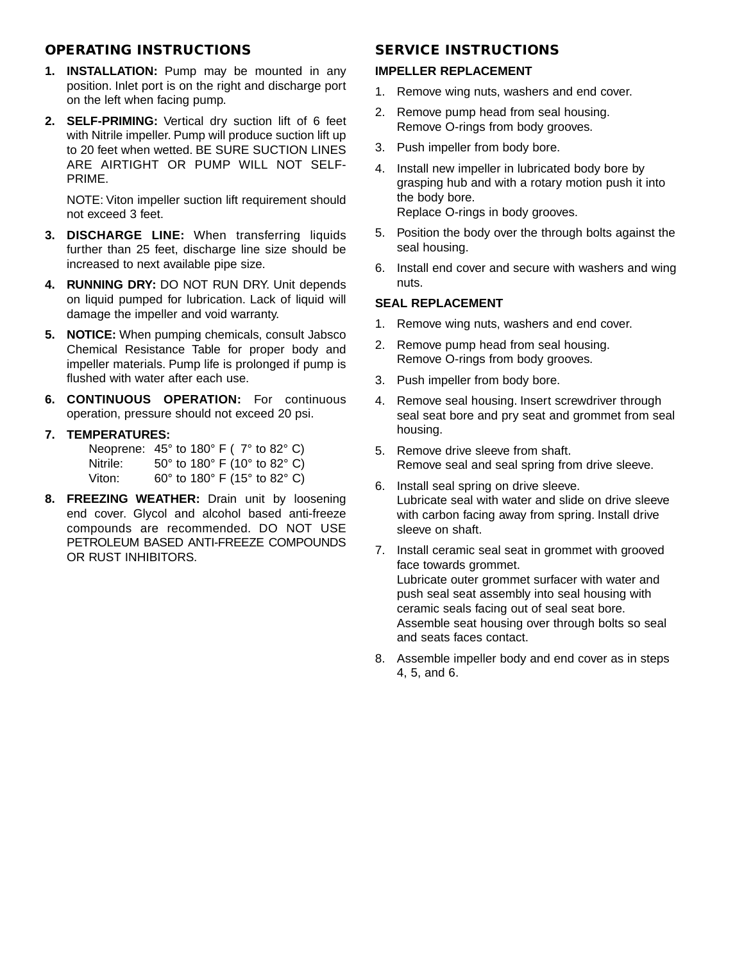### **OPERATING INSTRUCTIONS**

- **1. INSTALLATION:** Pump may be mounted in any position. Inlet port is on the right and discharge port on the left when facing pump.
- **2. SELF-PRIMING:** Vertical dry suction lift of 6 feet with Nitrile impeller. Pump will produce suction lift up to 20 feet when wetted. BE SURE SUCTION LINES ARE AIRTIGHT OR PUMP WILL NOT SELF-PRIME.

NOTE: Viton impeller suction lift requirement should not exceed 3 feet.

- **3. DISCHARGE LINE:** When transferring liquids further than 25 feet, discharge line size should be increased to next available pipe size.
- **4. RUNNING DRY:** DO NOT RUN DRY. Unit depends on liquid pumped for lubrication. Lack of liquid will damage the impeller and void warranty.
- **5. NOTICE:** When pumping chemicals, consult Jabsco Chemical Resistance Table for proper body and impeller materials. Pump life is prolonged if pump is flushed with water after each use.
- **6. CONTINUOUS OPERATION:** For continuous operation, pressure should not exceed 20 psi.

## **7. TEMPERATURES:**

Neoprene: 45° to 180° F ( 7° to 82° C) Nitrile: 50° to 180° F (10° to 82° C) Viton: 60° to 180° F (15° to 82° C)

**8. FREEZING WEATHER:** Drain unit by loosening end cover. Glycol and alcohol based anti-freeze compounds are recommended. DO NOT USE PETROLEUM BASED ANTI-FREEZE COMPOUNDS OR RUST INHIBITORS.

## **SERVICE INSTRUCTIONS**

## **IMPELLER REPLACEMENT**

- 1. Remove wing nuts, washers and end cover.
- 2. Remove pump head from seal housing. Remove O-rings from body grooves.
- 3. Push impeller from body bore.
- 4. Install new impeller in lubricated body bore by grasping hub and with a rotary motion push it into the body bore. Replace O-rings in body grooves.
- 5. Position the body over the through bolts against the seal housing.
- 6. Install end cover and secure with washers and wing nuts.

## **SEAL REPLACEMENT**

- 1. Remove wing nuts, washers and end cover.
- 2. Remove pump head from seal housing. Remove O-rings from body grooves.
- 3. Push impeller from body bore.
- 4. Remove seal housing. Insert screwdriver through seal seat bore and pry seat and grommet from seal housing.
- 5. Remove drive sleeve from shaft. Remove seal and seal spring from drive sleeve.
- 6. Install seal spring on drive sleeve. Lubricate seal with water and slide on drive sleeve with carbon facing away from spring. Install drive sleeve on shaft.
- 7. Install ceramic seal seat in grommet with grooved face towards grommet. Lubricate outer grommet surfacer with water and push seal seat assembly into seal housing with ceramic seals facing out of seal seat bore. Assemble seat housing over through bolts so seal and seats faces contact.
- 8. Assemble impeller body and end cover as in steps 4, 5, and 6.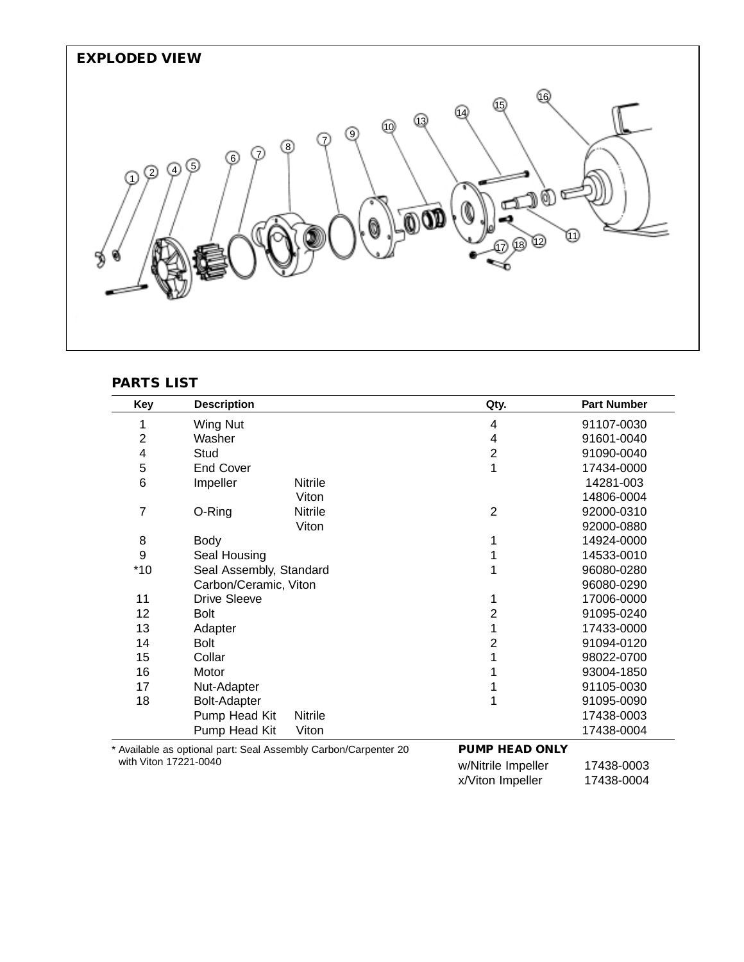

## **PARTS LIST**

| Key            | <b>Description</b>                                              | Qty.                  | <b>Part Number</b> |
|----------------|-----------------------------------------------------------------|-----------------------|--------------------|
| 1              | <b>Wing Nut</b>                                                 | 4                     | 91107-0030         |
| $\overline{c}$ | Washer                                                          | 4                     | 91601-0040         |
| 4              | Stud                                                            | $\overline{2}$        | 91090-0040         |
| 5              | <b>End Cover</b>                                                | 1                     | 17434-0000         |
| 6              | Impeller<br>Nitrile                                             |                       | 14281-003          |
|                | Viton                                                           |                       | 14806-0004         |
| 7              | O-Ring<br><b>Nitrile</b>                                        | $\overline{2}$        | 92000-0310         |
|                | Viton                                                           |                       | 92000-0880         |
| 8              | Body                                                            |                       | 14924-0000         |
| 9              | Seal Housing                                                    |                       | 14533-0010         |
| $*10$          | Seal Assembly, Standard                                         |                       | 96080-0280         |
|                | Carbon/Ceramic, Viton                                           |                       | 96080-0290         |
| 11             | <b>Drive Sleeve</b>                                             |                       | 17006-0000         |
| 12             | <b>Bolt</b>                                                     | 2                     | 91095-0240         |
| 13             | Adapter                                                         | 1                     | 17433-0000         |
| 14             | Bolt                                                            | 2                     | 91094-0120         |
| 15             | Collar                                                          |                       | 98022-0700         |
| 16             | Motor                                                           |                       | 93004-1850         |
| 17             | Nut-Adapter                                                     |                       | 91105-0030         |
| 18             | <b>Bolt-Adapter</b>                                             | 1                     | 91095-0090         |
|                | Pump Head Kit<br><b>Nitrile</b>                                 |                       | 17438-0003         |
|                | Pump Head Kit<br>Viton                                          |                       | 17438-0004         |
|                | * Available as optional part: Seal Assembly Carbon/Carpenter 20 | <b>PUMP HEAD ONLY</b> |                    |

with Viton 17221-0040

w/Nitrile Impeller 17438-0003 x/Viton Impeller 17438-0004